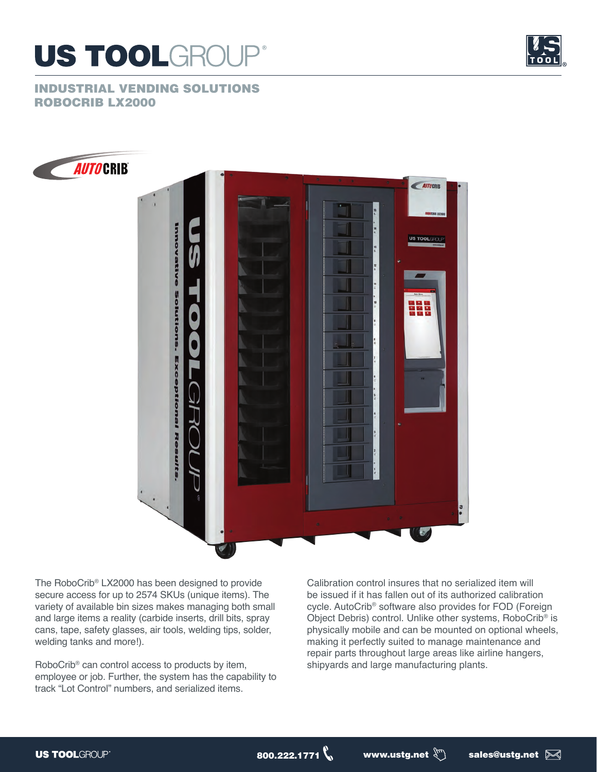



INDUSTRIAL VENDING SOLUTIONS ROBOCRIB LX2000



The RoboCrib® LX2000 has been designed to provide secure access for up to 2574 SKUs (unique items). The variety of available bin sizes makes managing both small and large items a reality (carbide inserts, drill bits, spray cans, tape, safety glasses, air tools, welding tips, solder, welding tanks and more!).

RoboCrib® can control access to products by item, employee or job. Further, the system has the capability to track "Lot Control" numbers, and serialized items.

Calibration control insures that no serialized item will be issued if it has fallen out of its authorized calibration cycle. AutoCrib® software also provides for FOD (Foreign Object Debris) control. Unlike other systems, RoboCrib® is physically mobile and can be mounted on optional wheels, making it perfectly suited to manage maintenance and repair parts throughout large areas like airline hangers, shipyards and large manufacturing plants.